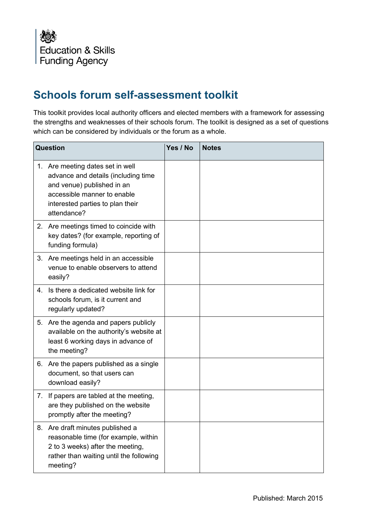

## **Schools forum self-assessment toolkit**

This toolkit provides local authority officers and elected members with a framework for assessing the strengths and weaknesses of their schools forum. The toolkit is designed as a set of questions which can be considered by individuals or the forum as a whole.

| Question |                                                                                                                                                                                         | Yes / No | <b>Notes</b> |
|----------|-----------------------------------------------------------------------------------------------------------------------------------------------------------------------------------------|----------|--------------|
|          | 1. Are meeting dates set in well<br>advance and details (including time<br>and venue) published in an<br>accessible manner to enable<br>interested parties to plan their<br>attendance? |          |              |
|          | 2. Are meetings timed to coincide with<br>key dates? (for example, reporting of<br>funding formula)                                                                                     |          |              |
|          | 3. Are meetings held in an accessible<br>venue to enable observers to attend<br>easily?                                                                                                 |          |              |
| $4_{-}$  | Is there a dedicated website link for<br>schools forum, is it current and<br>regularly updated?                                                                                         |          |              |
|          | 5. Are the agenda and papers publicly<br>available on the authority's website at<br>least 6 working days in advance of<br>the meeting?                                                  |          |              |
|          | 6. Are the papers published as a single<br>document, so that users can<br>download easily?                                                                                              |          |              |
| 7.       | If papers are tabled at the meeting,<br>are they published on the website<br>promptly after the meeting?                                                                                |          |              |
|          | 8. Are draft minutes published a<br>reasonable time (for example, within<br>2 to 3 weeks) after the meeting,<br>rather than waiting until the following<br>meeting?                     |          |              |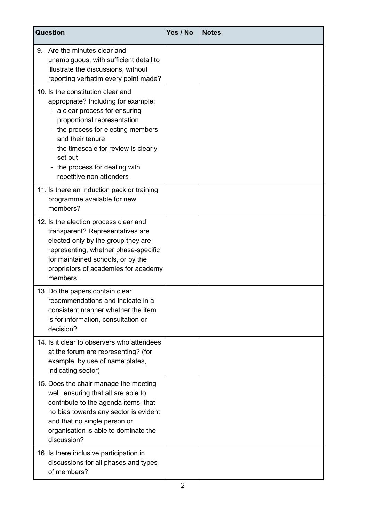| Question                                                                                                                                                                                                                                                                                                            | Yes / No | <b>Notes</b> |
|---------------------------------------------------------------------------------------------------------------------------------------------------------------------------------------------------------------------------------------------------------------------------------------------------------------------|----------|--------------|
| 9. Are the minutes clear and<br>unambiguous, with sufficient detail to<br>illustrate the discussions, without<br>reporting verbatim every point made?                                                                                                                                                               |          |              |
| 10. Is the constitution clear and<br>appropriate? Including for example:<br>- a clear process for ensuring<br>proportional representation<br>- the process for electing members<br>and their tenure<br>the timescale for review is clearly<br>set out<br>- the process for dealing with<br>repetitive non attenders |          |              |
| 11. Is there an induction pack or training<br>programme available for new<br>members?                                                                                                                                                                                                                               |          |              |
| 12. Is the election process clear and<br>transparent? Representatives are<br>elected only by the group they are<br>representing, whether phase-specific<br>for maintained schools, or by the<br>proprietors of academies for academy<br>members.                                                                    |          |              |
| 13. Do the papers contain clear<br>recommendations and indicate in a<br>consistent manner whether the item<br>is for information, consultation or<br>decision?                                                                                                                                                      |          |              |
| 14. Is it clear to observers who attendees<br>at the forum are representing? (for<br>example, by use of name plates,<br>indicating sector)                                                                                                                                                                          |          |              |
| 15. Does the chair manage the meeting<br>well, ensuring that all are able to<br>contribute to the agenda items, that<br>no bias towards any sector is evident<br>and that no single person or<br>organisation is able to dominate the<br>discussion?                                                                |          |              |
| 16. Is there inclusive participation in<br>discussions for all phases and types<br>of members?                                                                                                                                                                                                                      |          |              |